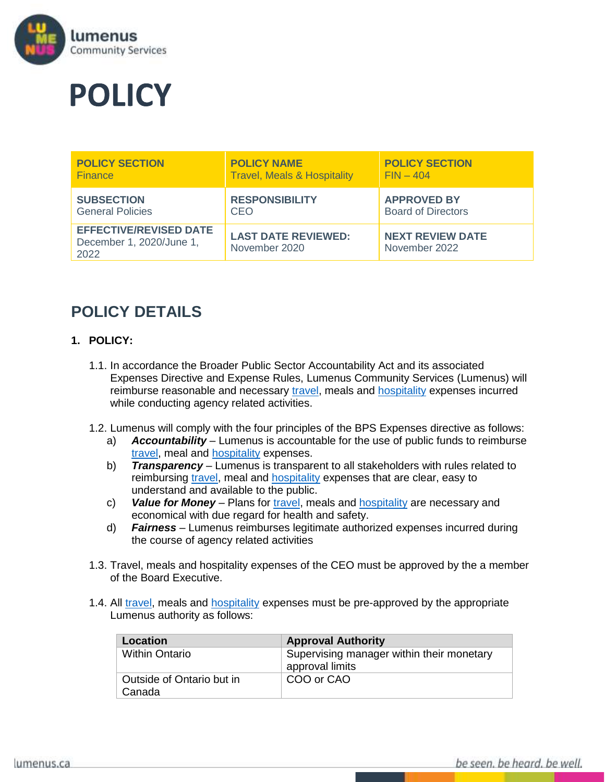

# **POLICY**

| <b>POLICY SECTION</b>                                             | <b>POLICY NAME</b>                          | <b>POLICY SECTION</b>                    |
|-------------------------------------------------------------------|---------------------------------------------|------------------------------------------|
| <b>Finance</b>                                                    | <b>Travel, Meals &amp; Hospitality</b>      | $FIN-404$                                |
| <b>SUBSECTION</b>                                                 | <b>RESPONSIBILITY</b>                       | <b>APPROVED BY</b>                       |
| <b>General Policies</b>                                           | CEO.                                        | <b>Board of Directors</b>                |
| <b>EFFECTIVE/REVISED DATE</b><br>December 1, 2020/June 1,<br>2022 | <b>LAST DATE REVIEWED:</b><br>November 2020 | <b>NEXT REVIEW DATE</b><br>November 2022 |

# **POLICY DETAILS**

## **1. POLICY:**

- 1.1. In accordance the Broader Public Sector Accountability Act and its associated Expenses Directive and Expense Rules, Lumenus Community Services (Lumenus) will reimburse reasonable and necessary [travel,](#page-3-0) meals and [hospitality](#page-2-0) expenses incurred while conducting agency related activities.
- 1.2. Lumenus will comply with the four principles of the BPS Expenses directive as follows:
	- a) *Accountability* Lumenus is accountable for the use of public funds to reimburse [travel,](#page-3-0) meal and [hospitality](#page-2-0) expenses.
	- b) *Transparency* Lumenus is transparent to all stakeholders with rules related to reimbursing [travel,](#page-3-0) meal and **hospitality** expenses that are clear, easy to understand and available to the public.
	- c) **Value for Money** Plans for [travel,](#page-3-0) meals and **hospitality** are necessary and economical with due regard for health and safety.
	- d) *Fairness*  Lumenus reimburses legitimate authorized expenses incurred during the course of agency related activities
- 1.3. Travel, meals and hospitality expenses of the CEO must be approved by the a member of the Board Executive.
- 1.4. All [travel,](#page-3-0) meals and [hospitality](#page-2-0) expenses must be pre-approved by the appropriate Lumenus authority as follows:

| <b>Location</b>                     | <b>Approval Authority</b>                                    |
|-------------------------------------|--------------------------------------------------------------|
| <b>Within Ontario</b>               | Supervising manager within their monetary<br>approval limits |
| Outside of Ontario but in<br>Canada | COO or CAO                                                   |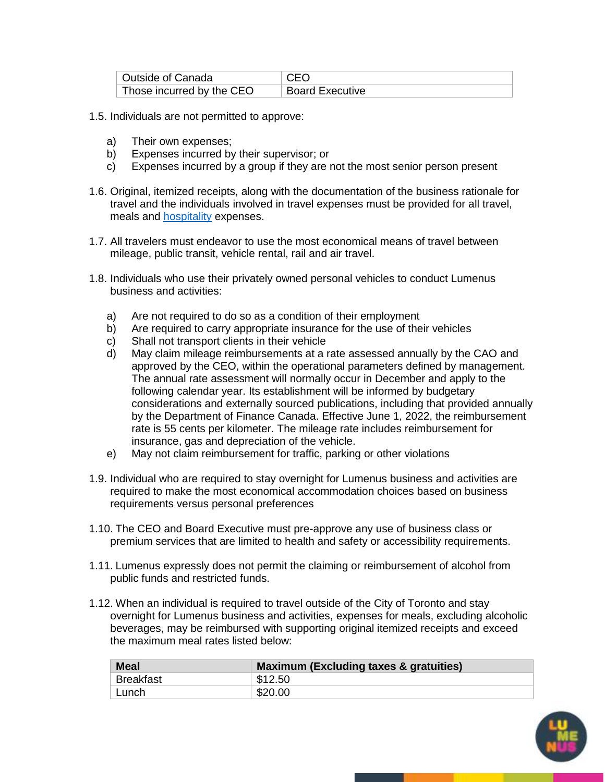| Outside of Canada         | <b>CEO</b>             |
|---------------------------|------------------------|
| Those incurred by the CEO | <b>Board Executive</b> |

- 1.5. Individuals are not permitted to approve:
	- a) Their own expenses;
	- b) Expenses incurred by their supervisor; or
	- c) Expenses incurred by a group if they are not the most senior person present
- 1.6. Original, itemized receipts, along with the documentation of the business rationale for travel and the individuals involved in travel expenses must be provided for all travel, meals and [hospitality](#page-2-0) expenses.
- 1.7. All travelers must endeavor to use the most economical means of travel between mileage, public transit, vehicle rental, rail and air travel.
- 1.8. Individuals who use their privately owned personal vehicles to conduct Lumenus business and activities:
	- a) Are not required to do so as a condition of their employment
	- b) Are required to carry appropriate insurance for the use of their vehicles
	- c) Shall not transport clients in their vehicle
	- d) May claim mileage reimbursements at a rate assessed annually by the CAO and approved by the CEO, within the operational parameters defined by management. The annual rate assessment will normally occur in December and apply to the following calendar year. Its establishment will be informed by budgetary considerations and externally sourced publications, including that provided annually by the Department of Finance Canada. Effective June 1, 2022, the reimbursement rate is 55 cents per kilometer. The mileage rate includes reimbursement for insurance, gas and depreciation of the vehicle.
	- e) May not claim reimbursement for traffic, parking or other violations
- 1.9. Individual who are required to stay overnight for Lumenus business and activities are required to make the most economical accommodation choices based on business requirements versus personal preferences
- 1.10. The CEO and Board Executive must pre-approve any use of business class or premium services that are limited to health and safety or accessibility requirements.
- 1.11. Lumenus expressly does not permit the claiming or reimbursement of alcohol from public funds and restricted funds.
- 1.12. When an individual is required to travel outside of the City of Toronto and stay overnight for Lumenus business and activities, expenses for meals, excluding alcoholic beverages, may be reimbursed with supporting original itemized receipts and exceed the maximum meal rates listed below:

| <b>Meal</b> | <b>Maximum (Excluding taxes &amp; gratuities)</b> |  |  |
|-------------|---------------------------------------------------|--|--|
| Breakfast   | \$12.50                                           |  |  |
| ' Lunch     | \$20.00                                           |  |  |

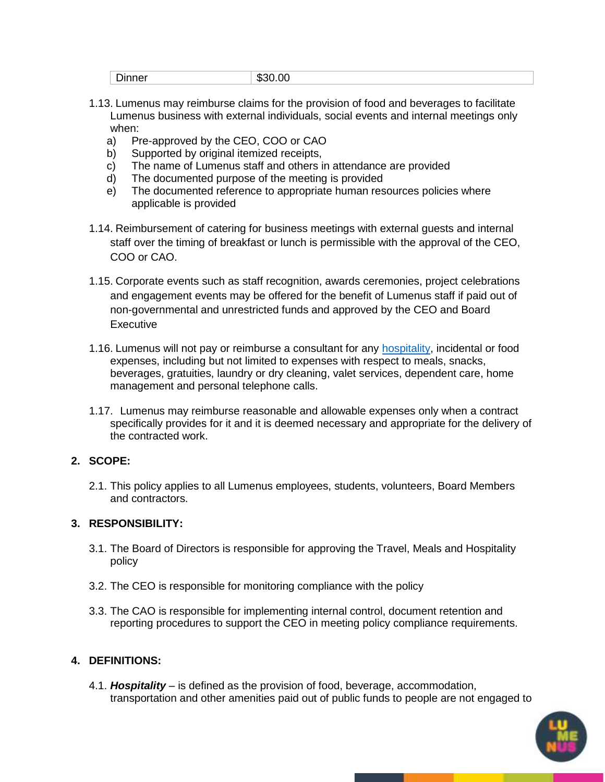| $\overline{\phantom{0}}$<br>$ -$<br>.,<br>unner<br>ה.<br>ור<br>$^{\prime\prime}$<br>,,,,,,,,<br>-<br>$\sim$ $\sim$ |  |
|--------------------------------------------------------------------------------------------------------------------|--|
|--------------------------------------------------------------------------------------------------------------------|--|

- 1.13. Lumenus may reimburse claims for the provision of food and beverages to facilitate Lumenus business with external individuals, social events and internal meetings only when:
	- a) Pre-approved by the CEO, COO or CAO
	- b) Supported by original itemized receipts,
	- c) The name of Lumenus staff and others in attendance are provided
	- d) The documented purpose of the meeting is provided
	- e) The documented reference to appropriate human resources policies where applicable is provided
- 1.14. Reimbursement of catering for business meetings with external guests and internal staff over the timing of breakfast or lunch is permissible with the approval of the CEO, COO or CAO.
- 1.15. Corporate events such as staff recognition, awards ceremonies, project celebrations and engagement events may be offered for the benefit of Lumenus staff if paid out of non-governmental and unrestricted funds and approved by the CEO and Board **Executive**
- 1.16. Lumenus will not pay or reimburse a consultant for any [hospitality,](#page-2-0) incidental or food expenses, including but not limited to expenses with respect to meals, snacks, beverages, gratuities, laundry or dry cleaning, valet services, dependent care, home management and personal telephone calls.
- 1.17. Lumenus may reimburse reasonable and allowable expenses only when a contract specifically provides for it and it is deemed necessary and appropriate for the delivery of the contracted work.

# **2. SCOPE:**

2.1. This policy applies to all Lumenus employees, students, volunteers, Board Members and contractors.

# **3. RESPONSIBILITY:**

- 3.1. The Board of Directors is responsible for approving the Travel, Meals and Hospitality policy
- 3.2. The CEO is responsible for monitoring compliance with the policy
- 3.3. The CAO is responsible for implementing internal control, document retention and reporting procedures to support the CEO in meeting policy compliance requirements.

# **4. DEFINITIONS:**

<span id="page-2-0"></span>4.1. *Hospitality* – is defined as the provision of food, beverage, accommodation, transportation and other amenities paid out of public funds to people are not engaged to

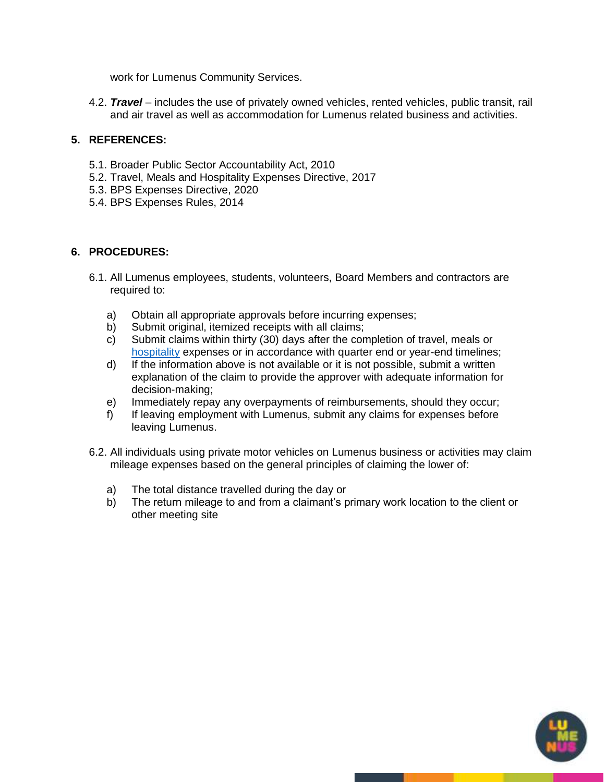work for Lumenus Community Services.

<span id="page-3-0"></span>4.2. *Travel* – includes the use of privately owned vehicles, rented vehicles, public transit, rail and air travel as well as accommodation for Lumenus related business and activities.

#### **5. REFERENCES:**

- 5.1. Broader Public Sector Accountability Act, 2010
- 5.2. Travel, Meals and Hospitality Expenses Directive, 2017
- 5.3. BPS Expenses Directive, 2020
- 5.4. BPS Expenses Rules, 2014

#### **6. PROCEDURES:**

- 6.1. All Lumenus employees, students, volunteers, Board Members and contractors are required to:
	- a) Obtain all appropriate approvals before incurring expenses;
	- b) Submit original, itemized receipts with all claims;
	- c) Submit claims within thirty (30) days after the completion of travel, meals or [hospitality](#page-2-0) expenses or in accordance with quarter end or year-end timelines;
	- d) If the information above is not available or it is not possible, submit a written explanation of the claim to provide the approver with adequate information for decision-making;
	- e) Immediately repay any overpayments of reimbursements, should they occur;
	- f) If leaving employment with Lumenus, submit any claims for expenses before leaving Lumenus.
- 6.2. All individuals using private motor vehicles on Lumenus business or activities may claim mileage expenses based on the general principles of claiming the lower of:
	- a) The total distance travelled during the day or
	- b) The return mileage to and from a claimant's primary work location to the client or other meeting site

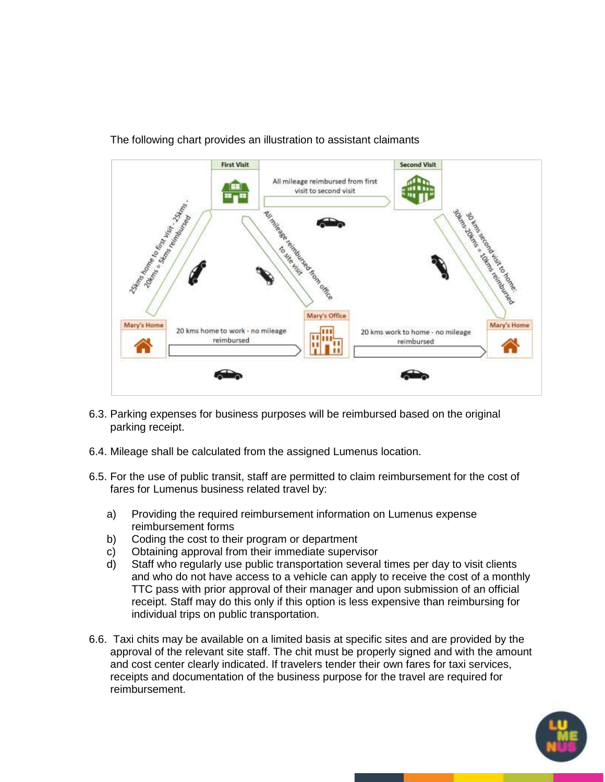

## The following chart provides an illustration to assistant claimants

- 6.3. Parking expenses for business purposes will be reimbursed based on the original parking receipt.
- 6.4. Mileage shall be calculated from the assigned Lumenus location.
- 6.5. For the use of public transit, staff are permitted to claim reimbursement for the cost of fares for Lumenus business related travel by:
	- a) Providing the required reimbursement information on Lumenus expense reimbursement forms
	- b) Coding the cost to their program or department
	- c) Obtaining approval from their immediate supervisor
	- d) Staff who regularly use public transportation several times per day to visit clients and who do not have access to a vehicle can apply to receive the cost of a monthly TTC pass with prior approval of their manager and upon submission of an official receipt. Staff may do this only if this option is less expensive than reimbursing for individual trips on public transportation.
- 6.6. Taxi chits may be available on a limited basis at specific sites and are provided by the approval of the relevant site staff. The chit must be properly signed and with the amount and cost center clearly indicated. If travelers tender their own fares for taxi services, receipts and documentation of the business purpose for the travel are required for reimbursement.